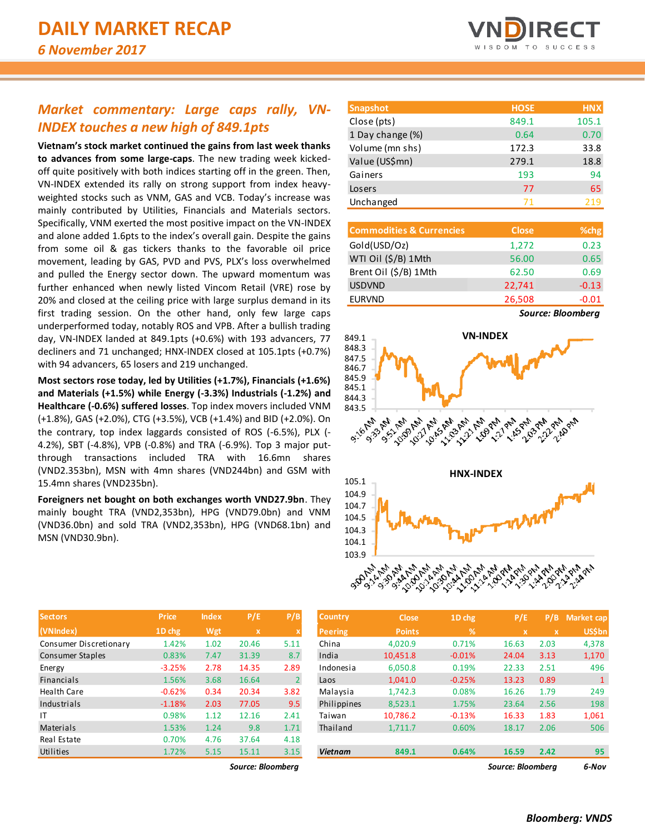# **IRECT**

## *Market commentary: Large caps rally, VN-INDEX touches a new high of 849.1pts*

**Vietnam's stock market continued the gains from last week thanks to advances from some large-caps**. The new trading week kickedoff quite positively with both indices starting off in the green. Then, VN-INDEX extended its rally on strong support from index heavyweighted stocks such as VNM, GAS and VCB. Today's increase was mainly contributed by Utilities, Financials and Materials sectors. Specifically, VNM exerted the most positive impact on the VN-INDEX and alone added 1.6pts to the index's overall gain. Despite the gains from some oil & gas tickers thanks to the favorable oil price movement, leading by GAS, PVD and PVS, PLX's loss overwhelmed and pulled the Energy sector down. The upward momentum was further enhanced when newly listed Vincom Retail (VRE) rose by 20% and closed at the ceiling price with large surplus demand in its first trading session. On the other hand, only few large caps underperformed today, notably ROS and VPB. After a bullish trading day, VN-INDEX landed at 849.1pts (+0.6%) with 193 advancers, 77 decliners and 71 unchanged; HNX-INDEX closed at 105.1pts (+0.7%) with 94 advancers, 65 losers and 219 unchanged.

**Most sectors rose today, led by Utilities (+1.7%), Financials (+1.6%) and Materials (+1.5%) while Energy (-3.3%) Industrials (-1.2%) and Healthcare (-0.6%) suffered losses**. Top index movers included VNM (+1.8%), GAS (+2.0%), CTG (+3.5%), VCB (+1.4%) and BID (+2.0%). On the contrary, top index laggards consisted of ROS (-6.5%), PLX (- 4.2%), SBT (-4.8%), VPB (-0.8%) and TRA (-6.9%). Top 3 major putthrough transactions included TRA with 16.6mn shares (VND2.353bn), MSN with 4mn shares (VND244bn) and GSM with 15.4mn shares (VND235bn).

**Foreigners net bought on both exchanges worth VND27.9bn**. They mainly bought TRA (VND2,353bn), HPG (VND79.0bn) and VNM (VND36.0bn) and sold TRA (VND2,353bn), HPG (VND68.1bn) and MSN (VND30.9bn).

| <b>Sectors</b>          | <b>Price</b> | <b>Index</b> | P/E   | P/B            | <b>Country</b> | <b>Close</b>  | 1D chg   | P/E   | P/B  | Market cap    |
|-------------------------|--------------|--------------|-------|----------------|----------------|---------------|----------|-------|------|---------------|
| (VNIndex)               | 1D chg       | Wgt          | x     |                | Peering        | <b>Points</b> | %        | x     | x.   | <b>US\$bn</b> |
| Consumer Discretionary  | 1.42%        | 1.02         | 20.46 | 5.11           | China          | 4,020.9       | 0.71%    | 16.63 | 2.03 | 4,378         |
| <b>Consumer Staples</b> | 0.83%        | 7.47         | 31.39 | 8.7            | India          | 10,451.8      | $-0.01%$ | 24.04 | 3.13 | 1,170         |
| Energy                  | $-3.25%$     | 2.78         | 14.35 | 2.89           | Indonesia      | 6.050.8       | 0.19%    | 22.33 | 2.51 |               |
| <b>Financials</b>       | 1.56%        | 3.68         | 16.64 | $\overline{2}$ | Laos           | 1,041.0       | $-0.25%$ | 13.23 | 0.89 |               |
| Health Care             | $-0.62%$     | 0.34         | 20.34 | 3.82           | Malaysia       | 1,742.3       | 0.08%    | 16.26 | 1.79 |               |
| Industrials             | $-1.18%$     | 2.03         | 77.05 | 9.5            | Philippines    | 8,523.1       | 1.75%    | 23.64 | 2.56 |               |
| IT                      | 0.98%        | 1.12         | 12.16 | 2.41           | Taiwan         | 10,786.2      | $-0.13%$ | 16.33 | 1.83 | 1,061         |
| <b>Materials</b>        | 1.53%        | 1.24         | 9.8   | 1.71           | Thailand       | 1,711.7       | 0.60%    | 18.17 | 2.06 |               |
| Real Estate             | 0.70%        | 4.76         | 37.64 | 4.18           |                |               |          |       |      |               |
| Utilities               | 1.72%        | 5.15         | 15.11 | 3.15           | <b>Vietnam</b> | 849.1         | 0.64%    | 16.59 | 2.42 |               |

| <b>Snapshot</b>  | <b>HOSE</b> | <b>HNX</b> |
|------------------|-------------|------------|
| Close (pts)      | 849.1       | 105.1      |
| 1 Day change (%) | 0.64        | 0.70       |
| Volume (mn shs)  | 172.3       | 33.8       |
| Value (US\$mn)   | 279.1       | 18.8       |
| Gainers          | 193         | 94         |
| Losers           | 77          | 65         |
| Unchanged        | 71          | 219        |

| <b>Commodities &amp; Currencies</b> | <b>Close</b> | $%$ chg |
|-------------------------------------|--------------|---------|
| Gold(USD/Oz)                        | 1,272        | 0.23    |
| WTI Oil (\$/B) 1Mth                 | 56.00        | 0.65    |
| Brent Oil (\$/B) 1Mth               | 62.50        | 0.69    |
| <b>USDVND</b>                       | 22,741       | $-0.13$ |
| <b>EURVND</b>                       | 26,508       | $-0.01$ |

*Source: Bloomberg*



| Sectors                | <b>Price</b> | <b>Index</b> | P/E               | P/B            | <b>Country</b> | <b>Close</b>  | 1D chg   | P/E                       | P/B  | Market cap    |
|------------------------|--------------|--------------|-------------------|----------------|----------------|---------------|----------|---------------------------|------|---------------|
| (VNIndex)              | 1D chg       | Wgt          | $\mathbf x$       |                | <b>Peering</b> | <b>Points</b> | %        | $\boldsymbol{\mathsf{x}}$ | ιx   | <b>US\$bn</b> |
| Consumer Discretionary | 1.42%        | 1.02         | 20.46             | 5.11           | China          | 4,020.9       | 0.71%    | 16.63                     | 2.03 | 4,378         |
| Consumer Staples       | 0.83%        | 7.47         | 31.39             | 8.7            | India          | 10,451.8      | $-0.01%$ | 24.04                     | 3.13 | 1,170         |
| Energy                 | $-3.25%$     | 2.78         | 14.35             | 2.89           | Indonesia      | 6,050.8       | 0.19%    | 22.33                     | 2.51 | 496           |
| Financials             | 1.56%        | 3.68         | 16.64             | $\overline{2}$ | Laos           | 1,041.0       | $-0.25%$ | 13.23                     | 0.89 |               |
| Health Care            | $-0.62%$     | 0.34         | 20.34             | 3.82           | Malaysia       | 1,742.3       | 0.08%    | 16.26                     | 1.79 | 249           |
| Industrials            | $-1.18%$     | 2.03         | 77.05             | 9.5            | Philippines    | 8,523.1       | 1.75%    | 23.64                     | 2.56 | 198           |
|                        | 0.98%        | 1.12         | 12.16             | 2.41           | Taiwan         | 10,786.2      | $-0.13%$ | 16.33                     | 1.83 | 1,061         |
| Materials              | 1.53%        | 1.24         | 9.8               | 1.71           | Thailand       | 1,711.7       | 0.60%    | 18.17                     | 2.06 | 506           |
| Real Estate            | 0.70%        | 4.76         | 37.64             | 4.18           |                |               |          |                           |      |               |
| Utilities              | 1.72%        | 5.15         | 15.11             | 3.15           | <b>Vietnam</b> | 849.1         | 0.64%    | 16.59                     | 2.42 | 95            |
|                        |              |              | Source: Bloomberg |                |                |               |          | Source: Bloomberg         |      | 6-Nov         |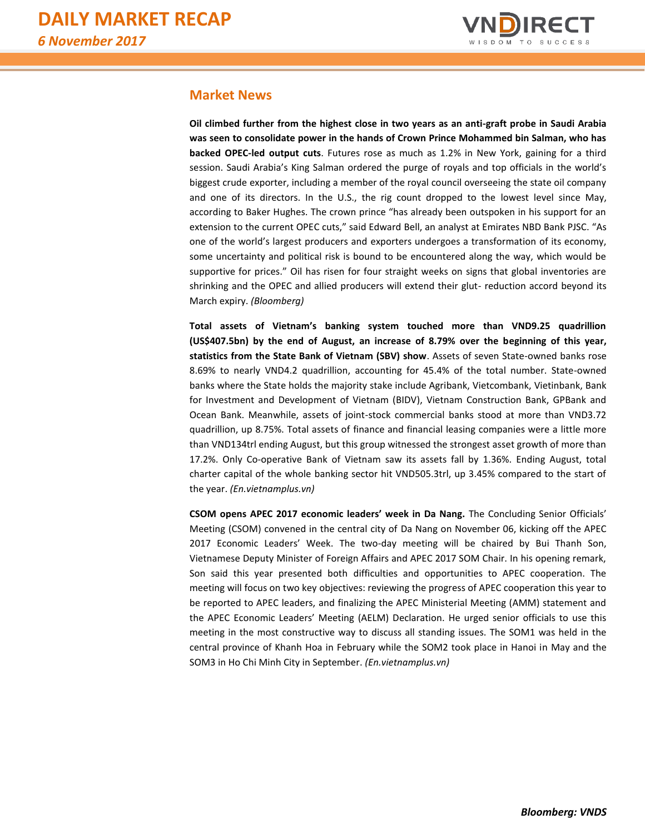

#### **Market News**

**Oil climbed further from the highest close in two years as an anti-graft probe in Saudi Arabia was seen to consolidate power in the hands of Crown Prince Mohammed bin Salman, who has backed OPEC-led output cuts**. Futures rose as much as 1.2% in New York, gaining for a third session. Saudi Arabia's King Salman ordered the purge of royals and top officials in the world's biggest crude exporter, including a member of the royal council overseeing the state oil company and one of its directors. In the U.S., the rig count dropped to the lowest level since May, according to Baker Hughes. The crown prince "has already been outspoken in his support for an extension to the current OPEC cuts," said Edward Bell, an analyst at Emirates NBD Bank PJSC. "As one of the world's largest producers and exporters undergoes a transformation of its economy, some uncertainty and political risk is bound to be encountered along the way, which would be supportive for prices." Oil has risen for four straight weeks on signs that global inventories are shrinking and the OPEC and allied producers will extend their glut- reduction accord beyond its March expiry. *(Bloomberg)*

**Total assets of Vietnam's banking system touched more than VND9.25 quadrillion (US\$407.5bn) by the end of August, an increase of 8.79% over the beginning of this year, statistics from the State Bank of Vietnam (SBV) show**. Assets of seven State-owned banks rose 8.69% to nearly VND4.2 quadrillion, accounting for 45.4% of the total number. State-owned banks where the State holds the majority stake include Agribank, Vietcombank, Vietinbank, Bank for Investment and Development of Vietnam (BIDV), Vietnam Construction Bank, GPBank and Ocean Bank. Meanwhile, assets of joint-stock commercial banks stood at more than VND3.72 quadrillion, up 8.75%. Total assets of finance and financial leasing companies were a little more than VND134trl ending August, but this group witnessed the strongest asset growth of more than 17.2%. Only Co-operative Bank of Vietnam saw its assets fall by 1.36%. Ending August, total charter capital of the whole banking sector hit VND505.3trl, up 3.45% compared to the start of the year. *(En.vietnamplus.vn)*

**CSOM opens APEC 2017 economic leaders' week in Da Nang.** The Concluding Senior Officials' Meeting (CSOM) convened in the central city of Da Nang on November 06, kicking off the APEC 2017 Economic Leaders' Week. The two-day meeting will be chaired by Bui Thanh Son, Vietnamese Deputy Minister of Foreign Affairs and APEC 2017 SOM Chair. In his opening remark, Son said this year presented both difficulties and opportunities to APEC cooperation. The meeting will focus on two key objectives: reviewing the progress of APEC cooperation this year to be reported to APEC leaders, and finalizing the APEC Ministerial Meeting (AMM) statement and the APEC Economic Leaders' Meeting (AELM) Declaration. He urged senior officials to use this meeting in the most constructive way to discuss all standing issues. The SOM1 was held in the central province of Khanh Hoa in February while the SOM2 took place in Hanoi in May and the SOM3 in Ho Chi Minh City in September. *(En.vietnamplus.vn)*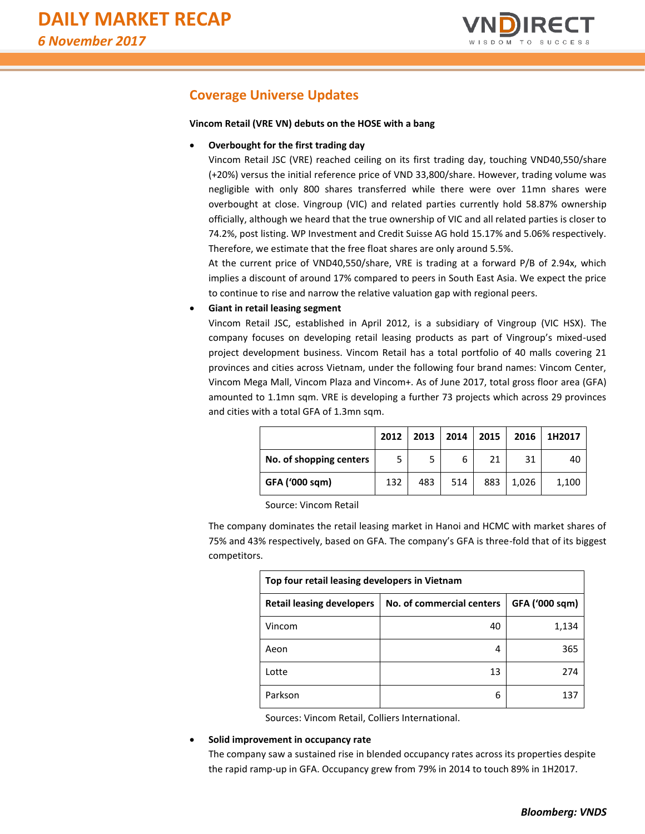

## **Coverage Universe Updates**

#### **Vincom Retail (VRE VN) debuts on the HOSE with a bang**

#### **Overbought for the first trading day**

Vincom Retail JSC (VRE) reached ceiling on its first trading day, touching VND40,550/share (+20%) versus the initial reference price of VND 33,800/share. However, trading volume was negligible with only 800 shares transferred while there were over 11mn shares were overbought at close. Vingroup (VIC) and related parties currently hold 58.87% ownership officially, although we heard that the true ownership of VIC and all related parties is closer to 74.2%, post listing. WP Investment and Credit Suisse AG hold 15.17% and 5.06% respectively. Therefore, we estimate that the free float shares are only around 5.5%.

At the current price of VND40,550/share, VRE is trading at a forward P/B of 2.94x, which implies a discount of around 17% compared to peers in South East Asia. We expect the price to continue to rise and narrow the relative valuation gap with regional peers.

#### **Giant in retail leasing segment**

Vincom Retail JSC, established in April 2012, is a subsidiary of Vingroup (VIC HSX). The company focuses on developing retail leasing products as part of Vingroup's mixed-used project development business. Vincom Retail has a total portfolio of 40 malls covering 21 provinces and cities across Vietnam, under the following four brand names: Vincom Center, Vincom Mega Mall, Vincom Plaza and Vincom+. As of June 2017, total gross floor area (GFA) amounted to 1.1mn sqm. VRE is developing a further 73 projects which across 29 provinces and cities with a total GFA of 1.3mn sqm.

|                         | 2012 | 2013 | 2014 | 2015 | 2016  | 1H2017 |
|-------------------------|------|------|------|------|-------|--------|
| No. of shopping centers | 5    | 5    | 6    | 21   | 31    | 40     |
| GFA ('000 sqm)          | 132  | 483  | 514  | 883  | 1,026 | 1,100  |

Source: Vincom Retail

The company dominates the retail leasing market in Hanoi and HCMC with market shares of 75% and 43% respectively, based on GFA. The company's GFA is three-fold that of its biggest competitors.

| Top four retail leasing developers in Vietnam |                           |                |  |  |  |  |  |
|-----------------------------------------------|---------------------------|----------------|--|--|--|--|--|
| <b>Retail leasing developers</b>              | No. of commercial centers | GFA ('000 sqm) |  |  |  |  |  |
| Vincom                                        | 40                        | 1,134          |  |  |  |  |  |
| Aeon                                          | 4                         | 365            |  |  |  |  |  |
| Lotte                                         | 13                        | 274            |  |  |  |  |  |
| Parkson                                       | 6                         | 137            |  |  |  |  |  |

Sources: Vincom Retail, Colliers International.

#### **Solid improvement in occupancy rate**

The company saw a sustained rise in blended occupancy rates across its properties despite the rapid ramp-up in GFA. Occupancy grew from 79% in 2014 to touch 89% in 1H2017.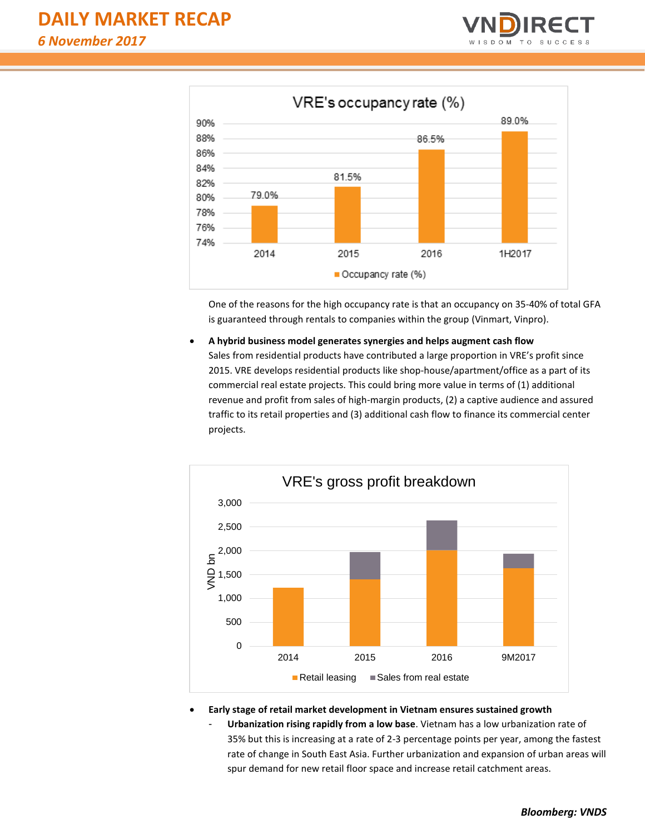



One of the reasons for the high occupancy rate is that an occupancy on 35-40% of total GFA is guaranteed through rentals to companies within the group (Vinmart, Vinpro).

 **A hybrid business model generates synergies and helps augment cash flow** Sales from residential products have contributed a large proportion in VRE's profit since 2015. VRE develops residential products like shop-house/apartment/office as a part of its commercial real estate projects. This could bring more value in terms of (1) additional revenue and profit from sales of high-margin products, (2) a captive audience and assured traffic to its retail properties and (3) additional cash flow to finance its commercial center projects.



**Early stage of retail market development in Vietnam ensures sustained growth**

- **Urbanization rising rapidly from a low base**. Vietnam has a low urbanization rate of 35% but this is increasing at a rate of 2-3 percentage points per year, among the fastest rate of change in South East Asia. Further urbanization and expansion of urban areas will spur demand for new retail floor space and increase retail catchment areas.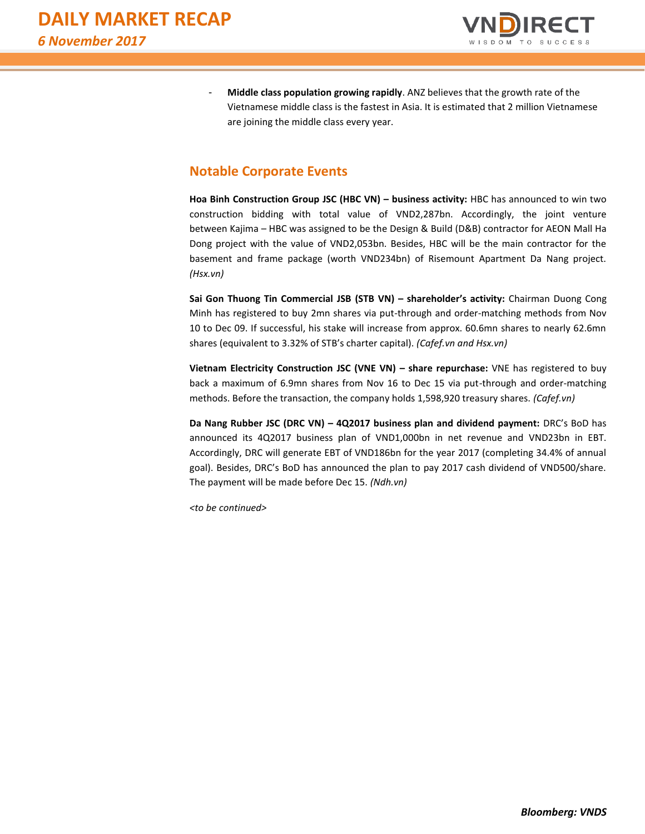

- **Middle class population growing rapidly**. ANZ believes that the growth rate of the Vietnamese middle class is the fastest in Asia. It is estimated that 2 million Vietnamese are joining the middle class every year.

## **Notable Corporate Events**

**Hoa Binh Construction Group JSC (HBC VN) – business activity:** HBC has announced to win two construction bidding with total value of VND2,287bn. Accordingly, the joint venture between Kajima – HBC was assigned to be the Design & Build (D&B) contractor for AEON Mall Ha Dong project with the value of VND2,053bn. Besides, HBC will be the main contractor for the basement and frame package (worth VND234bn) of Risemount Apartment Da Nang project. *(Hsx.vn)*

**Sai Gon Thuong Tin Commercial JSB (STB VN) – shareholder's activity:** Chairman Duong Cong Minh has registered to buy 2mn shares via put-through and order-matching methods from Nov 10 to Dec 09. If successful, his stake will increase from approx. 60.6mn shares to nearly 62.6mn shares (equivalent to 3.32% of STB's charter capital). *(Cafef.vn and Hsx.vn)*

**Vietnam Electricity Construction JSC (VNE VN) – share repurchase:** VNE has registered to buy back a maximum of 6.9mn shares from Nov 16 to Dec 15 via put-through and order-matching methods. Before the transaction, the company holds 1,598,920 treasury shares. *(Cafef.vn)*

**Da Nang Rubber JSC (DRC VN) – 4Q2017 business plan and dividend payment:** DRC's BoD has announced its 4Q2017 business plan of VND1,000bn in net revenue and VND23bn in EBT. Accordingly, DRC will generate EBT of VND186bn for the year 2017 (completing 34.4% of annual goal). Besides, DRC's BoD has announced the plan to pay 2017 cash dividend of VND500/share. The payment will be made before Dec 15. *(Ndh.vn)*

*<to be continued>*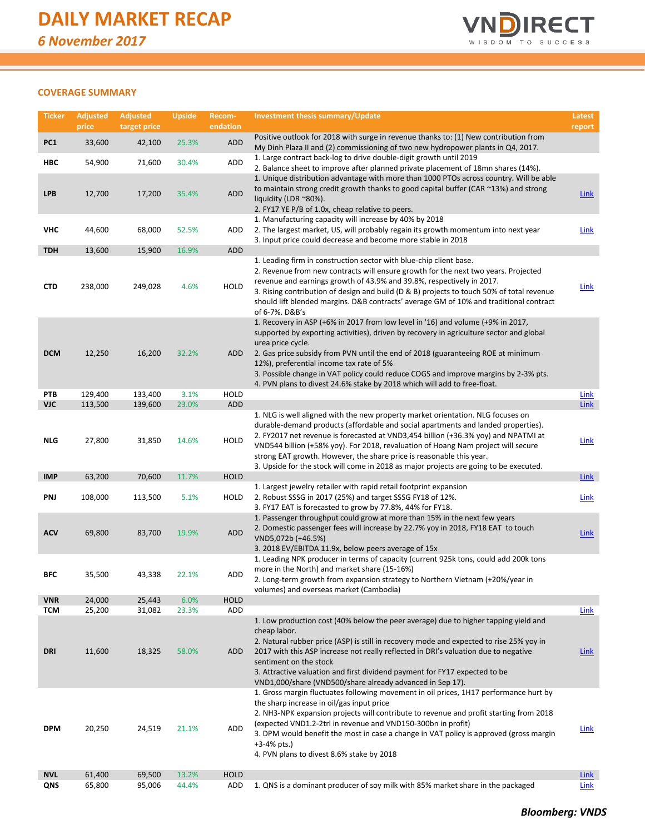

#### **COVERAGE SUMMARY**

| <b>Ticker</b>            | <b>Adjusted</b><br>price | <b>Adjusted</b><br>target price | <b>Upside</b>  | Recom-<br>endation | <b>Investment thesis summary/Update</b>                                                                                                                                                                                                                                                                                                                                                                                                                                                            | Latest<br>report    |
|--------------------------|--------------------------|---------------------------------|----------------|--------------------|----------------------------------------------------------------------------------------------------------------------------------------------------------------------------------------------------------------------------------------------------------------------------------------------------------------------------------------------------------------------------------------------------------------------------------------------------------------------------------------------------|---------------------|
| PC1                      | 33,600                   | 42,100                          | 25.3%          | ADD                | Positive outlook for 2018 with surge in revenue thanks to: (1) New contribution from<br>My Dinh Plaza II and (2) commissioning of two new hydropower plants in Q4, 2017.                                                                                                                                                                                                                                                                                                                           |                     |
| HBC                      | 54,900                   | 71,600                          | 30.4%          | ADD                | 1. Large contract back-log to drive double-digit growth until 2019<br>2. Balance sheet to improve after planned private placement of 18mn shares (14%).                                                                                                                                                                                                                                                                                                                                            |                     |
| <b>LPB</b>               | 12,700                   | 17,200                          | 35.4%          | <b>ADD</b>         | 1. Unique distribution advantage with more than 1000 PTOs across country. Will be able<br>to maintain strong credit growth thanks to good capital buffer (CAR ~13%) and strong<br>liquidity (LDR $^{\sim}80\%$ ).<br>2. FY17 YE P/B of 1.0x, cheap relative to peers.                                                                                                                                                                                                                              | <b>Link</b>         |
| <b>VHC</b>               | 44,600                   | 68,000                          | 52.5%          | ADD                | 1. Manufacturing capacity will increase by 40% by 2018<br>2. The largest market, US, will probably regain its growth momentum into next year<br>3. Input price could decrease and become more stable in 2018                                                                                                                                                                                                                                                                                       | Link                |
| <b>TDH</b>               | 13,600                   | 15,900                          | 16.9%          | <b>ADD</b>         |                                                                                                                                                                                                                                                                                                                                                                                                                                                                                                    |                     |
| <b>CTD</b>               | 238,000                  | 249,028                         | 4.6%           | <b>HOLD</b>        | 1. Leading firm in construction sector with blue-chip client base.<br>2. Revenue from new contracts will ensure growth for the next two years. Projected<br>revenue and earnings growth of 43.9% and 39.8%, respectively in 2017.<br>3. Rising contribution of design and build (D & B) projects to touch 50% of total revenue<br>should lift blended margins. D&B contracts' average GM of 10% and traditional contract<br>of 6-7%. D&B's                                                         | <u>Link</u>         |
| <b>DCM</b>               | 12,250                   | 16,200                          | 32.2%          | ADD                | 1. Recovery in ASP (+6% in 2017 from low level in '16) and volume (+9% in 2017,<br>supported by exporting activities), driven by recovery in agriculture sector and global<br>urea price cycle.<br>2. Gas price subsidy from PVN until the end of 2018 (guaranteeing ROE at minimum<br>12%), preferential income tax rate of 5%<br>3. Possible change in VAT policy could reduce COGS and improve margins by 2-3% pts.<br>4. PVN plans to divest 24.6% stake by 2018 which will add to free-float. |                     |
| PTB                      | 129,400                  | 133,400                         | 3.1%           | <b>HOLD</b>        |                                                                                                                                                                                                                                                                                                                                                                                                                                                                                                    | <b>Link</b>         |
| VJC                      | 113,500                  | 139,600                         | 23.0%          | <b>ADD</b>         | 1. NLG is well aligned with the new property market orientation. NLG focuses on<br>durable-demand products (affordable and social apartments and landed properties).<br>2. FY2017 net revenue is forecasted at VND3,454 billion (+36.3% yoy) and NPATMI at                                                                                                                                                                                                                                         | <b>Link</b>         |
| <b>NLG</b>               | 27,800                   | 31,850                          | 14.6%          | HOLD               | VND544 billion (+58% yoy). For 2018, revaluation of Hoang Nam project will secure<br>strong EAT growth. However, the share price is reasonable this year.<br>3. Upside for the stock will come in 2018 as major projects are going to be executed.                                                                                                                                                                                                                                                 | <b>Link</b>         |
| <b>IMP</b>               | 63,200                   | 70,600                          | 11.7%          | <b>HOLD</b>        |                                                                                                                                                                                                                                                                                                                                                                                                                                                                                                    | <b>Link</b>         |
| PNJ                      | 108,000                  | 113,500                         | 5.1%           | HOLD               | 1. Largest jewelry retailer with rapid retail footprint expansion<br>2. Robust SSSG in 2017 (25%) and target SSSG FY18 of 12%.<br>3. FY17 EAT is forecasted to grow by 77.8%, 44% for FY18.                                                                                                                                                                                                                                                                                                        | <b>Link</b>         |
| <b>ACV</b>               | 69,800                   | 83,700                          | 19.9%          | <b>ADD</b>         | 1. Passenger throughput could grow at more than 15% in the next few years<br>2. Domestic passenger fees will increase by 22.7% yoy in 2018, FY18 EAT to touch<br>VND5,072b (+46.5%)<br>3. 2018 EV/EBITDA 11.9x, below peers average of 15x                                                                                                                                                                                                                                                         | <b>Link</b>         |
| BFC                      | 35,500                   | 43,338                          | 22.1%          | ADD                | 1. Leading NPK producer in terms of capacity (current 925k tons, could add 200k tons<br>more in the North) and market share (15-16%)<br>2. Long-term growth from expansion strategy to Northern Vietnam (+20%/year in<br>volumes) and overseas market (Cambodia)                                                                                                                                                                                                                                   |                     |
| <b>VNR</b>               | 24,000                   | 25,443                          | 6.0%           | <b>HOLD</b>        |                                                                                                                                                                                                                                                                                                                                                                                                                                                                                                    |                     |
| <b>TCM</b><br><b>DRI</b> | 25,200<br>11,600         | 31,082<br>18,325                | 23.3%<br>58.0% | ADD<br><b>ADD</b>  | 1. Low production cost (40% below the peer average) due to higher tapping yield and<br>cheap labor.<br>2. Natural rubber price (ASP) is still in recovery mode and expected to rise 25% yoy in<br>2017 with this ASP increase not really reflected in DRI's valuation due to negative<br>sentiment on the stock<br>3. Attractive valuation and first dividend payment for FY17 expected to be<br>VND1,000/share (VND500/share already advanced in Sep 17).                                         | Link<br><u>Link</u> |
| <b>DPM</b>               | 20,250                   | 24,519                          | 21.1%          | ADD                | 1. Gross margin fluctuates following movement in oil prices, 1H17 performance hurt by<br>the sharp increase in oil/gas input price<br>2. NH3-NPK expansion projects will contribute to revenue and profit starting from 2018<br>(expected VND1.2-2trl in revenue and VND150-300bn in profit)<br>3. DPM would benefit the most in case a change in VAT policy is approved (gross margin<br>$+3-4%$ pts.)<br>4. PVN plans to divest 8.6% stake by 2018                                               | <u>Link</u>         |
| <b>NVL</b><br>QNS        | 61,400<br>65,800         | 69,500<br>95,006                | 13.2%<br>44.4% | <b>HOLD</b><br>ADD | 1. QNS is a dominant producer of soy milk with 85% market share in the packaged                                                                                                                                                                                                                                                                                                                                                                                                                    | <b>Link</b><br>Link |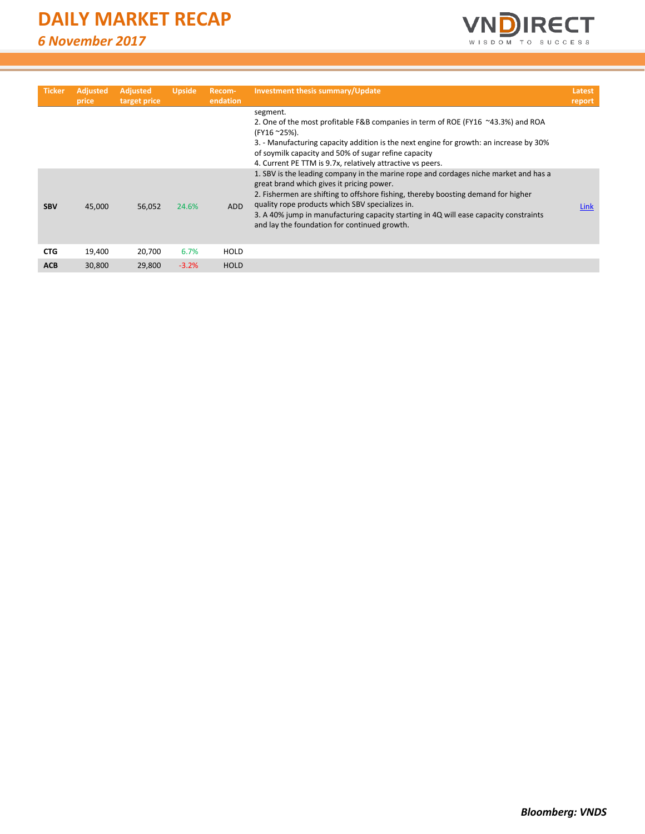*6 November 2017*



| <b>Ticker</b> | <b>Adjusted</b><br>price | <b>Adjusted</b><br>target price | <b>Upside</b> | Recom-<br>endation | Investment thesis summary/Update                                                                                                                                                                                                                                                                                                                                                                                   | Latest<br>report |
|---------------|--------------------------|---------------------------------|---------------|--------------------|--------------------------------------------------------------------------------------------------------------------------------------------------------------------------------------------------------------------------------------------------------------------------------------------------------------------------------------------------------------------------------------------------------------------|------------------|
|               |                          |                                 |               |                    | segment.<br>2. One of the most profitable F&B companies in term of ROE (FY16 ~43.3%) and ROA<br>(FY16 ~25%).<br>3. - Manufacturing capacity addition is the next engine for growth: an increase by 30%<br>of soymilk capacity and 50% of sugar refine capacity<br>4. Current PE TTM is 9.7x, relatively attractive vs peers.                                                                                       |                  |
| <b>SBV</b>    | 45,000                   | 56,052                          | 24.6%         | <b>ADD</b>         | 1. SBV is the leading company in the marine rope and cordages niche market and has a<br>great brand which gives it pricing power.<br>2. Fishermen are shifting to offshore fishing, thereby boosting demand for higher<br>quality rope products which SBV specializes in.<br>3. A 40% jump in manufacturing capacity starting in 4Q will ease capacity constraints<br>and lay the foundation for continued growth. | Link             |
| <b>CTG</b>    | 19,400                   | 20,700                          | 6.7%          | HOLD               |                                                                                                                                                                                                                                                                                                                                                                                                                    |                  |
| <b>ACB</b>    | 30.800                   | 29.800                          | $-3.2%$       | <b>HOLD</b>        |                                                                                                                                                                                                                                                                                                                                                                                                                    |                  |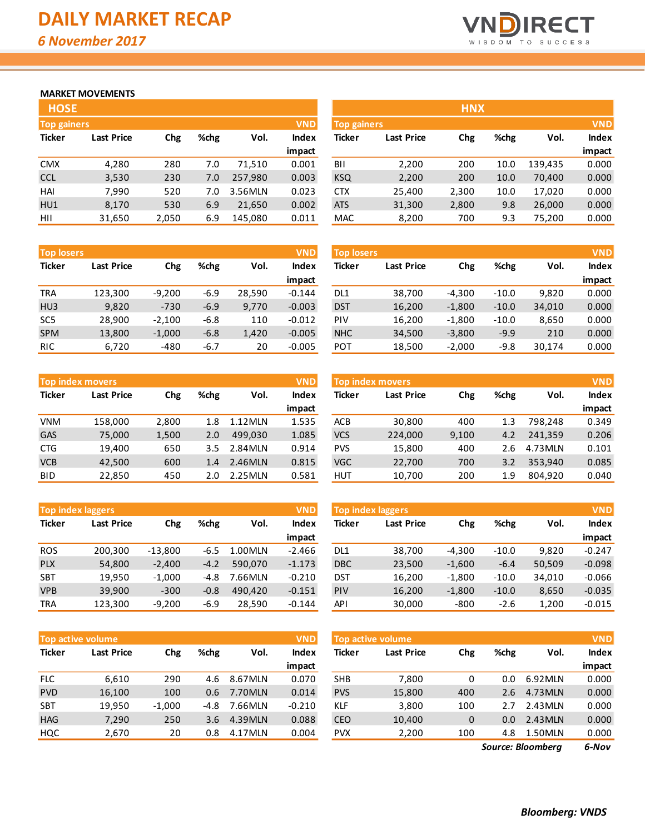

### **MARKET MOVEMENTS**

| <b>HOSE</b>                      |                   |       |      |         |              |  |  |  |  |  |
|----------------------------------|-------------------|-------|------|---------|--------------|--|--|--|--|--|
| <b>VND</b><br><b>Top gainers</b> |                   |       |      |         |              |  |  |  |  |  |
| <b>Ticker</b>                    | <b>Last Price</b> | Chg   | %chg | Vol.    | <b>Index</b> |  |  |  |  |  |
|                                  |                   |       |      |         | impact       |  |  |  |  |  |
| <b>CMX</b>                       | 4,280             | 280   | 7.0  | 71,510  | 0.001        |  |  |  |  |  |
| <b>CCL</b>                       | 3,530             | 230   | 7.0  | 257,980 | 0.003        |  |  |  |  |  |
| HAI                              | 7,990             | 520   | 7.0  | 3.56MLN | 0.023        |  |  |  |  |  |
| HU1                              | 8,170             | 530   | 6.9  | 21,650  | 0.002        |  |  |  |  |  |
| HII                              | 31,650            | 2,050 | 6.9  | 145.080 | 0.011        |  |  |  |  |  |

| <b>Top losers</b> |                   |          |        |        | <b>VND</b> | <b>Top losers</b> |                   |          |         |        | <b>VND</b> |
|-------------------|-------------------|----------|--------|--------|------------|-------------------|-------------------|----------|---------|--------|------------|
| <b>Ticker</b>     | <b>Last Price</b> | Chg      | %chg   | Vol.   | Index      | <b>Ticker</b>     | <b>Last Price</b> | Chg      | %chg    | Vol.   | Index      |
|                   |                   |          |        |        | impact     |                   |                   |          |         |        | impact     |
| <b>TRA</b>        | 123,300           | $-9.200$ | $-6.9$ | 28.590 | $-0.144$   | DL1               | 38.700            | $-4,300$ | $-10.0$ | 9,820  | 0.000      |
| H <sub>U3</sub>   | 9,820             | $-730$   | $-6.9$ | 9.770  | $-0.003$   | <b>DST</b>        | 16,200            | $-1,800$ | $-10.0$ | 34,010 | 0.000      |
| SC <sub>5</sub>   | 28,900            | $-2,100$ | $-6.8$ | 110    | $-0.012$   | PIV               | 16,200            | $-1,800$ | $-10.0$ | 8,650  | 0.000      |
| <b>SPM</b>        | 13,800            | $-1,000$ | $-6.8$ | 1,420  | $-0.005$   | <b>NHC</b>        | 34,500            | $-3,800$ | $-9.9$  | 210    | 0.000      |
| <b>RIC</b>        | 6,720             | $-480$   | $-6.7$ | 20     | $-0.005$   | POT               | 18,500            | $-2,000$ | $-9.8$  | 30,174 | 0.000      |

|               | <b>VND</b><br><b>Top index movers</b> |       |      |            |              |  |  |  |  |  |
|---------------|---------------------------------------|-------|------|------------|--------------|--|--|--|--|--|
| <b>Ticker</b> | <b>Last Price</b>                     | Chg   | %chg | Vol.       | <b>Index</b> |  |  |  |  |  |
|               |                                       |       |      |            | impact       |  |  |  |  |  |
| <b>VNM</b>    | 158,000                               | 2,800 | 1.8  | $1.12$ MLN | 1.535        |  |  |  |  |  |
| GAS           | 75,000                                | 1,500 | 2.0  | 499.030    | 1.085        |  |  |  |  |  |
| <b>CTG</b>    | 19,400                                | 650   | 3.5  | 2.84MLN    | 0.914        |  |  |  |  |  |
| <b>VCB</b>    | 42,500                                | 600   | 1.4  | 2.46MLN    | 0.815        |  |  |  |  |  |
| BID           | 22,850                                | 450   | 2.0  | 2.25MLN    | 0.581        |  |  |  |  |  |

|               | <b>Top index laggers</b><br><b>VND</b> |           |        |         |              |  |  |  |  |  |  |
|---------------|----------------------------------------|-----------|--------|---------|--------------|--|--|--|--|--|--|
| <b>Ticker</b> | <b>Last Price</b>                      | Chg       | %chg   | Vol.    | <b>Index</b> |  |  |  |  |  |  |
|               |                                        |           |        |         | impact       |  |  |  |  |  |  |
| <b>ROS</b>    | 200,300                                | $-13,800$ | $-6.5$ | 1.00MLN | $-2.466$     |  |  |  |  |  |  |
| <b>PLX</b>    | 54,800                                 | $-2,400$  | $-4.2$ | 590.070 | $-1.173$     |  |  |  |  |  |  |
| <b>SBT</b>    | 19,950                                 | $-1,000$  | $-4.8$ | 7.66MLN | $-0.210$     |  |  |  |  |  |  |
| <b>VPB</b>    | 39.900                                 | $-300$    | $-0.8$ | 490.420 | $-0.151$     |  |  |  |  |  |  |
| <b>TRA</b>    | 123,300                                | $-9,200$  | $-6.9$ | 28,590  | $-0.144$     |  |  |  |  |  |  |

|               | <b>Top active volume</b> |          |      |         | <b>VND</b>   |
|---------------|--------------------------|----------|------|---------|--------------|
| <b>Ticker</b> | <b>Last Price</b>        | Chg      | %chg | Vol.    | <b>Index</b> |
|               |                          |          |      |         | impact       |
| <b>FLC</b>    | 6,610                    | 290      | 4.6  | 8.67MLN | 0.070        |
| <b>PVD</b>    | 16,100                   | 100      | 0.6  | 7.70MLN | 0.014        |
| <b>SBT</b>    | 19,950                   | $-1,000$ | -4.8 | 7.66MLN | $-0.210$     |
| <b>HAG</b>    | 7,290                    | 250      | 3.6  | 4.39MLN | 0.088        |
| HQC           | 2,670                    | 20       | 0.8  | 4.17MLN | 0.004        |

| <b>HOSE</b>        |                   |       |      |         |            |                    |                   | <b>HNX</b> |      |         |            |
|--------------------|-------------------|-------|------|---------|------------|--------------------|-------------------|------------|------|---------|------------|
| <b>Top gainers</b> |                   |       |      |         | <b>VND</b> | <b>Top gainers</b> |                   |            |      |         | <b>VND</b> |
| Ticker             | <b>Last Price</b> | Chg   | %chg | Vol.    | Index      | <b>Ticker</b>      | <b>Last Price</b> | Chg        | %chg | Vol.    | Index      |
|                    |                   |       |      |         | impact     |                    |                   |            |      |         | impact     |
| CMX                | 4,280             | 280   | 7.0  | 71.510  | 0.001      | BII                | 2,200             | 200        | 10.0 | 139.435 | 0.000      |
| CCL                | 3,530             | 230   | 7.0  | 257,980 | 0.003      | <b>KSQ</b>         | 2,200             | 200        | 10.0 | 70,400  | 0.000      |
| HAI                | 7,990             | 520   | 7.0  | 3.56MLN | 0.023      | <b>CTX</b>         | 25,400            | 2,300      | 10.0 | 17,020  | 0.000      |
| HU1                | 8,170             | 530   | 6.9  | 21,650  | 0.002      | <b>ATS</b>         | 31,300            | 2,800      | 9.8  | 26,000  | 0.000      |
| HII                | 31,650            | 2,050 | 6.9  | 145,080 | 0.011      | MAC                | 8,200             | 700        | 9.3  | 75,200  | 0.000      |

| <b>Top losers</b> |                   |          |         |        | <b>VND</b>   |
|-------------------|-------------------|----------|---------|--------|--------------|
| <b>Ticker</b>     | <b>Last Price</b> | Chg      | %chg    | Vol.   | <b>Index</b> |
|                   |                   |          |         |        | impact       |
| DL <sub>1</sub>   | 38,700            | $-4,300$ | $-10.0$ | 9,820  | 0.000        |
| <b>DST</b>        | 16,200            | $-1,800$ | $-10.0$ | 34,010 | 0.000        |
| PIV               | 16,200            | $-1,800$ | $-10.0$ | 8,650  | 0.000        |
| <b>NHC</b>        | 34,500            | $-3,800$ | $-9.9$  | 210    | 0.000        |
| <b>POT</b>        | 18,500            | $-2,000$ | $-9.8$  | 30,174 | 0.000        |

|            | <b>Top index movers</b> |       |      |            | <b>VND</b> | <b>Top index movers</b> |                   |       |      |         | <b>VND</b>   |
|------------|-------------------------|-------|------|------------|------------|-------------------------|-------------------|-------|------|---------|--------------|
| Ticker     | <b>Last Price</b>       | Chg   | %chg | Vol.       | Index      | Ticker                  | <b>Last Price</b> | Chg   | %chg | Vol.    | <b>Index</b> |
|            |                         |       |      |            | impact     |                         |                   |       |      |         | impact       |
| VNM        | 158.000                 | 2,800 | 1.8  | $1.12$ MLN | 1.535      | <b>ACB</b>              | 30,800            | 400   | 1.3  | 798.248 | 0.349        |
| GAS        | 75,000                  | 1,500 | 2.0  | 499.030    | 1.085      | <b>VCS</b>              | 224,000           | 9,100 | 4.2  | 241.359 | 0.206        |
| CTG        | 19,400                  | 650   | 3.5  | 2.84MLN    | 0.914      | <b>PVS</b>              | 15,800            | 400   | 2.6  | 4.73MLN | 0.101        |
| <b>VCB</b> | 42.500                  | 600   | 1.4  | 2.46MLN    | 0.815      | <b>VGC</b>              | 22,700            | 700   | 3.2  | 353.940 | 0.085        |
| BID        | 22,850                  | 450   | 2.0  | 2.25MLN    | 0.581      | <b>HUT</b>              | 10,700            | 200   | 1.9  | 804,920 | 0.040        |

|            | <b>Top index laggers</b> |           |        |         | <b>VND</b> | <b>VND</b><br>Top index laggers |                   |          |         |        |          |
|------------|--------------------------|-----------|--------|---------|------------|---------------------------------|-------------------|----------|---------|--------|----------|
| Ticker     | <b>Last Price</b>        | Chg       | %chg   | Vol.    | Index      | Ticker                          | <b>Last Price</b> | Chg      | %chg    | Vol.   | Index    |
|            |                          |           |        |         | impact     |                                 |                   |          |         |        | impact   |
| <b>ROS</b> | 200.300                  | $-13,800$ | -6.5   | 1.00MLN | $-2.466$   | DL1                             | 38,700            | $-4,300$ | $-10.0$ | 9.820  | $-0.247$ |
| <b>PLX</b> | 54,800                   | $-2.400$  | $-4.2$ | 590.070 | $-1.173$   | <b>DBC</b>                      | 23,500            | $-1,600$ | $-6.4$  | 50,509 | $-0.098$ |
| SBT        | 19,950                   | $-1,000$  | -4.8   | 7.66MLN | $-0.210$   | DST                             | 16,200            | $-1,800$ | $-10.0$ | 34.010 | $-0.066$ |
| <b>VPB</b> | 39,900                   | $-300$    | $-0.8$ | 490.420 | $-0.151$   | <b>PIV</b>                      | 16,200            | $-1,800$ | $-10.0$ | 8,650  | $-0.035$ |
| TRA        | 123,300                  | $-9,200$  | $-6.9$ | 28,590  | $-0.144$   | API                             | 30,000            | $-800$   | $-2.6$  | 1,200  | $-0.015$ |

|            | <b>VND</b><br><b>Top active volume</b> |          |      |         |              |            | Top active volume |     |      |         | <b>VND</b>   |
|------------|----------------------------------------|----------|------|---------|--------------|------------|-------------------|-----|------|---------|--------------|
| Ticker     | <b>Last Price</b>                      | Chg      | %chg | Vol.    | <b>Index</b> | Ticker     | <b>Last Price</b> | Chg | %chg | Vol.    | <b>Index</b> |
|            |                                        |          |      |         | impact       |            |                   |     |      |         | impact       |
| <b>FLC</b> | 6,610                                  | 290      | 4.6  | 8.67MLN | 0.070        | <b>SHB</b> | 7,800             | 0   | 0.0  | 6.92MLN | 0.000        |
| <b>PVD</b> | 16,100                                 | 100      | 0.6  | 7.70MLN | 0.014        | <b>PVS</b> | 15,800            | 400 | 2.6  | 4.73MLN | 0.000        |
| SBT        | 19,950                                 | $-1,000$ | -4.8 | 7.66MLN | $-0.210$     | <b>KLF</b> | 3,800             | 100 | 2.7  | 2.43MLN | 0.000        |
| <b>HAG</b> | 7,290                                  | 250      | 3.6  | 4.39MLN | 0.088        | <b>CEO</b> | 10,400            | 0   | 0.0  | 2.43MLN | 0.000        |
| HQC        | 2,670                                  | 20       | 0.8  | 4.17MLN | 0.004        | <b>PVX</b> | 2,200             | 100 | 4.8  | 1.50MLN | 0.000        |
|            |                                        |          |      |         |              |            |                   |     |      | ----    |              |

*6-Nov Source: Bloomberg*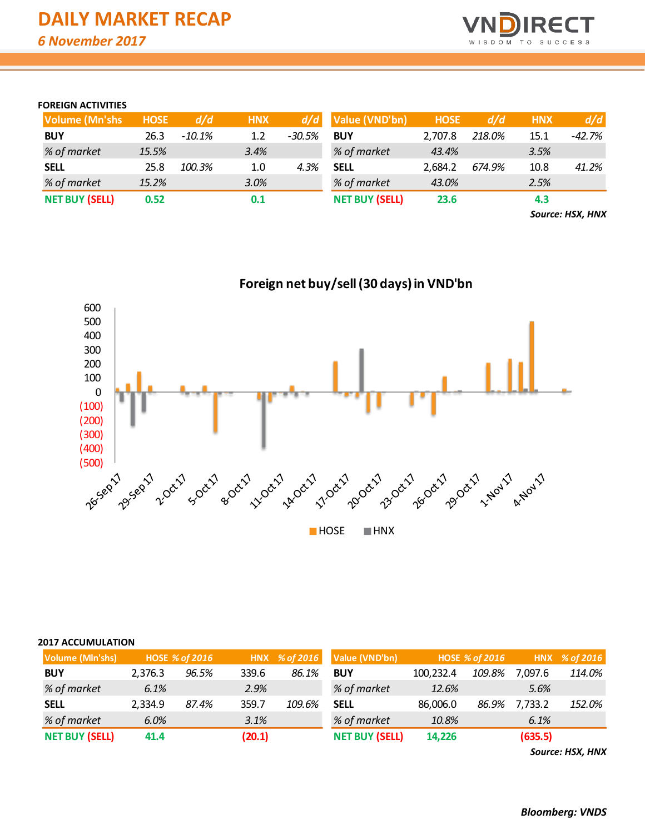

#### **FOREIGN ACTIVITIES**

| <b>Volume (Mn'shs)</b> | <b>HOSE</b> | d/d      | <b>HNX</b> |          | $d/d$ Value (VND'bn)  | <b>HOSE</b> | d/d    | <b>HNX</b> | d/d      |
|------------------------|-------------|----------|------------|----------|-----------------------|-------------|--------|------------|----------|
| <b>BUY</b>             | 26.3        | $-10.1%$ | 1.2        | $-30.5%$ | <b>BUY</b>            | 2.707.8     | 218.0% | 15.1       | $-42.7%$ |
| % of market            | 15.5%       |          | 3.4%       |          | % of market           | 43.4%       |        | 3.5%       |          |
| <b>SELL</b>            | 25.8        | 100.3%   | 1.0        | 4.3%     | <b>SELL</b>           | 2.684.2     | 674.9% | 10.8       | 41.2%    |
| % of market            | 15.2%       |          | 3.0%       |          | % of market           | 43.0%       |        | 2.5%       |          |
| <b>NET BUY (SELL)</b>  | 0.52        |          | 0.1        |          | <b>NET BUY (SELL)</b> | 23.6        |        | 4.3        |          |

*Source: HSX, HNX*



## **Foreign net buy/sell (30 days) in VND'bn**

#### **2017 ACCUMULATION**

| <b>Volume (Mln'shs)</b> |         | <b>HOSE % of 2016</b> |        |        | HNX % of 2016 Value (VND'bn) |           | <b>HOSE % of 2016</b> |         | HNX % of 2016 |
|-------------------------|---------|-----------------------|--------|--------|------------------------------|-----------|-----------------------|---------|---------------|
| <b>BUY</b>              | 2,376.3 | 96.5%                 | 339.6  | 86.1%  | <b>BUY</b>                   | 100,232.4 | 109.8%                | 7,097.6 | 114.0%        |
| % of market             | 6.1%    |                       | 2.9%   |        | % of market                  | 12.6%     |                       | 5.6%    |               |
| <b>SELL</b>             | 2,334.9 | 87.4%                 | 359.7  | 109.6% | <b>SELL</b>                  | 86,006.0  | 86.9%                 | 7,733.2 | 152.0%        |
| % of market             | 6.0%    |                       | 3.1%   |        | % of market                  | 10.8%     |                       | 6.1%    |               |
| <b>NET BUY (SELL)</b>   | 41.4    |                       | (20.1) |        | <b>NET BUY (SELL)</b>        | 14,226    |                       | (635.5) |               |

*Source: HSX, HNX*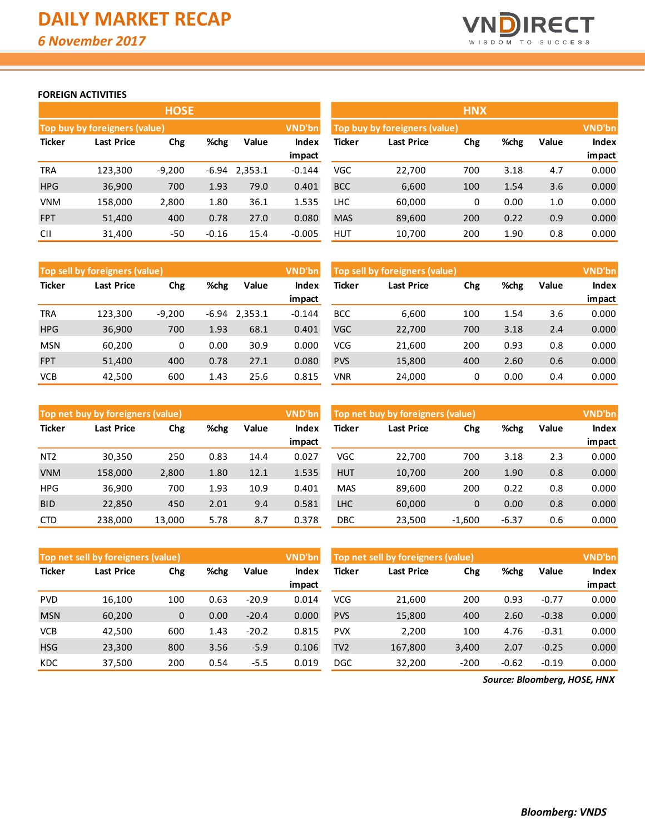

#### **FOREIGN ACTIVITIES**

|               |                               | <b>HOSE</b> |         |         |              |               |                               | <b>HNX</b> |      |       |              |
|---------------|-------------------------------|-------------|---------|---------|--------------|---------------|-------------------------------|------------|------|-------|--------------|
|               | Top buy by foreigners (value) |             |         |         | VND'bn       |               | Top buy by foreigners (value) |            |      |       | VND'bn       |
| <b>Ticker</b> | <b>Last Price</b>             | Chg         | %chg    | Value   | <b>Index</b> | <b>Ticker</b> | <b>Last Price</b>             | Chg        | %chg | Value | <b>Index</b> |
|               |                               |             |         |         | impact       |               |                               |            |      |       | impact       |
| <b>TRA</b>    | 123,300                       | $-9,200$    | $-6.94$ | 2,353.1 | $-0.144$     | VGC           | 22,700                        | 700        | 3.18 | 4.7   | 0.000        |
| <b>HPG</b>    | 36,900                        | 700         | 1.93    | 79.0    | 0.401        | <b>BCC</b>    | 6,600                         | 100        | 1.54 | 3.6   | 0.000        |
| <b>VNM</b>    | 158,000                       | 2,800       | 1.80    | 36.1    | 1.535        | <b>LHC</b>    | 60,000                        | 0          | 0.00 | 1.0   | 0.000        |
| <b>FPT</b>    | 51,400                        | 400         | 0.78    | 27.0    | 0.080        | <b>MAS</b>    | 89,600                        | 200        | 0.22 | 0.9   | 0.000        |
| <b>CII</b>    | 31,400                        | $-50$       | $-0.16$ | 15.4    | $-0.005$     | <b>HUT</b>    | 10,700                        | 200        | 1.90 | 0.8   | 0.000        |

|               | Top sell by foreigners (value)<br>VND'bn |          |       |         |                    |            | Top sell by foreigners (value) |     |      |       | <b>VND'bn</b>   |
|---------------|------------------------------------------|----------|-------|---------|--------------------|------------|--------------------------------|-----|------|-------|-----------------|
| <b>Ticker</b> | <b>Last Price</b>                        | Chg      | %chg  | Value   | <b>Index</b>       | Ticker     | <b>Last Price</b>              | Chg | %chg | Value | <b>Index</b>    |
| <b>TRA</b>    | 123.300                                  | $-9,200$ | -6.94 | 2,353.1 | impact<br>$-0.144$ | <b>BCC</b> | 6,600                          | 100 | 1.54 | 3.6   | impact<br>0.000 |
|               |                                          |          |       |         |                    |            |                                |     |      |       |                 |
| <b>HPG</b>    | 36,900                                   | 700      | 1.93  | 68.1    | 0.401              | <b>VGC</b> | 22,700                         | 700 | 3.18 | 2.4   | 0.000           |
| <b>MSN</b>    | 60,200                                   | 0        | 0.00  | 30.9    | 0.000              | <b>VCG</b> | 21,600                         | 200 | 0.93 | 0.8   | 0.000           |
| <b>FPT</b>    | 51,400                                   | 400      | 0.78  | 27.1    | 0.080              | <b>PVS</b> | 15,800                         | 400 | 2.60 | 0.6   | 0.000           |
| <b>VCB</b>    | 42,500                                   | 600      | 1.43  | 25.6    | 0.815              | <b>VNR</b> | 24,000                         | 0   | 0.00 | 0.4   | 0.000           |

|                 | Top net buy by foreigners (value) |        |      |       | VND'bn          | Top net buy by foreigners (value) |                   |          |         |       | VND'bn          |
|-----------------|-----------------------------------|--------|------|-------|-----------------|-----------------------------------|-------------------|----------|---------|-------|-----------------|
| <b>Ticker</b>   | Last Price                        | Chg    | %chg | Value | Index           | Ticker                            | <b>Last Price</b> | Chg      | %chg    | Value | <b>Index</b>    |
| NT <sub>2</sub> | 30.350                            | 250    | 0.83 | 14.4  | impact<br>0.027 | <b>VGC</b>                        | 22.700            | 700      | 3.18    | 2.3   | impact<br>0.000 |
|                 |                                   |        |      |       |                 |                                   |                   |          |         |       |                 |
| <b>VNM</b>      | 158,000                           | 2,800  | 1.80 | 12.1  | 1.535           | <b>HUT</b>                        | 10,700            | 200      | 1.90    | 0.8   | 0.000           |
| <b>HPG</b>      | 36.900                            | 700    | 1.93 | 10.9  | 0.401           | <b>MAS</b>                        | 89.600            | 200      | 0.22    | 0.8   | 0.000           |
| <b>BID</b>      | 22,850                            | 450    | 2.01 | 9.4   | 0.581           | <b>LHC</b>                        | 60,000            | 0        | 0.00    | 0.8   | 0.000           |
| <b>CTD</b>      | 238,000                           | 13,000 | 5.78 | 8.7   | 0.378           | DBC                               | 23,500            | $-1,600$ | $-6.37$ | 0.6   | 0.000           |

|               | Top net sell by foreigners (value) |             |      |         | VND'bn | Top net sell by foreigners (value) |            |        |         |         | <b>VND'bn</b> |
|---------------|------------------------------------|-------------|------|---------|--------|------------------------------------|------------|--------|---------|---------|---------------|
| <b>Ticker</b> | Last Price                         | Chg         | %chg | Value   | Index  | Ticker                             | Last Price | Chg    | %chg    | Value   | <b>Index</b>  |
|               |                                    |             |      |         | impact |                                    |            |        |         |         | impact        |
| <b>PVD</b>    | 16.100                             | 100         | 0.63 | $-20.9$ | 0.014  | VCG                                | 21,600     | 200    | 0.93    | $-0.77$ | 0.000         |
| <b>MSN</b>    | 60,200                             | $\mathbf 0$ | 0.00 | $-20.4$ | 0.000  | <b>PVS</b>                         | 15,800     | 400    | 2.60    | $-0.38$ | 0.000         |
| <b>VCB</b>    | 42.500                             | 600         | 1.43 | $-20.2$ | 0.815  | <b>PVX</b>                         | 2.200      | 100    | 4.76    | $-0.31$ | 0.000         |
| <b>HSG</b>    | 23,300                             | 800         | 3.56 | $-5.9$  | 0.106  | TV <sub>2</sub>                    | 167,800    | 3,400  | 2.07    | $-0.25$ | 0.000         |
| <b>KDC</b>    | 37,500                             | 200         | 0.54 | $-5.5$  | 0.019  | <b>DGC</b>                         | 32,200     | $-200$ | $-0.62$ | $-0.19$ | 0.000         |

*Source: Bloomberg, HOSE, HNX*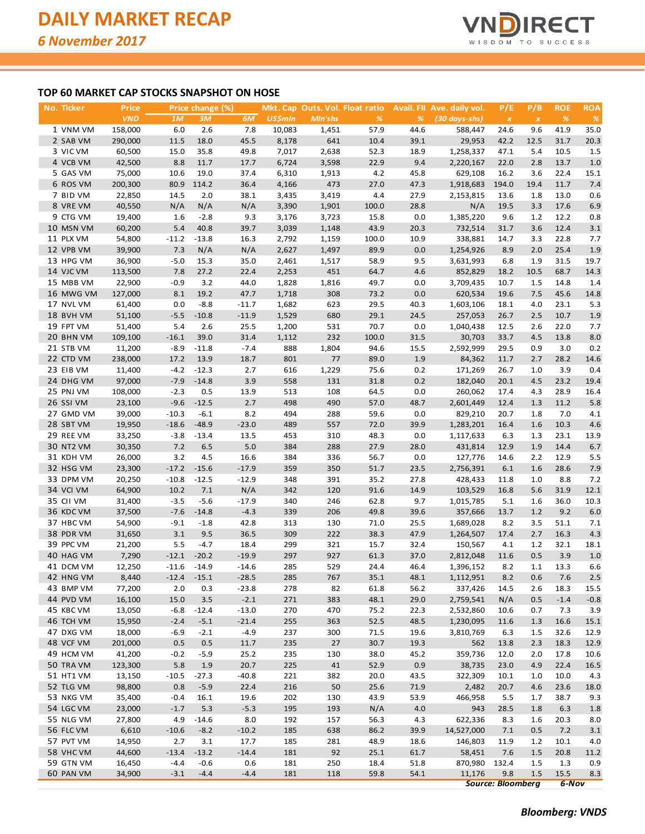

#### **TOP 60 MARKET CAP STOCKS SNAPSHOT ON HOSE**

| <u>No. Ticker</u>      | Price            |         | Price change (%)  |         |                |            | Mkt. Cap Outs. Vol. Float ratio |      | Avail. Fll Ave. daily vol. | P/E                      | P/B          | <b>ROE</b> | <b>ROA</b>    |
|------------------------|------------------|---------|-------------------|---------|----------------|------------|---------------------------------|------|----------------------------|--------------------------|--------------|------------|---------------|
|                        | <b>VND</b>       | 1M      | 3M                | 6M      | <b>US\$mln</b> | Mln'shs    | $\%$                            | %    | (30 days-shs)              | $\pmb{\times}$           | $\pmb{\chi}$ | $\%$       | $\frac{9}{6}$ |
| 1 VNM VM               | 158,000          | 6.0     | 2.6               | 7.8     | 10,083         | 1,451      | 57.9                            | 44.6 | 588,447                    | 24.6                     | 9.6          | 41.9       | 35.0          |
| 2 SAB VM               | 290,000          | 11.5    | 18.0              | 45.5    | 8,178          | 641        | 10.4                            | 39.1 | 29,953                     | 42.2                     | 12.5         | 31.7       | 20.3          |
| 3 VIC VM               | 60,500           | 15.0    | 35.8              | 49.8    | 7,017          | 2,638      | 52.3                            | 18.9 | 1,258,337                  | 47.1                     | 5.4          | 10.5       | 1.5           |
| 4 VCB VM               | 42,500           | 8.8     | 11.7              | 17.7    | 6,724          | 3,598      | 22.9                            | 9.4  | 2,220,167                  | 22.0                     | 2.8          | 13.7       | 1.0           |
| 5 GAS VM               | 75,000           | 10.6    | 19.0              | 37.4    | 6,310          | 1,913      | 4.2                             | 45.8 | 629,108                    | 16.2                     | 3.6          | 22.4       | 15.1          |
| 6 ROS VM               | 200,300          | 80.9    | 114.2             | 36.4    | 4,166          | 473        | 27.0                            | 47.3 | 1,918,683                  | 194.0                    | 19.4         | 11.7       | 7.4           |
| 7 BID VM               | 22,850           | 14.5    | 2.0               | 38.1    | 3,435          | 3,419      | 4.4                             | 27.9 | 2,153,815                  | 13.6                     | 1.8          | 13.0       | 0.6           |
| 8 VRE VM               | 40,550           | N/A     | N/A               | N/A     | 3,390          | 1,901      | 100.0                           | 28.8 | N/A                        | 19.5                     | 3.3          | 17.6       | 6.9           |
| 9 CTG VM               | 19,400           | 1.6     | $-2.8$            | 9.3     | 3,176          | 3,723      | 15.8                            | 0.0  | 1,385,220                  | 9.6                      | 1.2          | 12.2       | 0.8           |
| 10 MSN VM              | 60,200           | 5.4     | 40.8              | 39.7    | 3,039          | 1,148      | 43.9                            | 20.3 | 732,514                    | 31.7                     | 3.6          | 12.4       | 3.1           |
| 11 PLX VM              | 54,800           | $-11.2$ | $-13.8$           | 16.3    | 2,792          | 1,159      | 100.0                           | 10.9 | 338,881                    | 14.7                     | 3.3          | 22.8       | 7.7           |
| 12 VPB VM              | 39,900           | 7.3     | N/A               | N/A     | 2,627          | 1,497      | 89.9                            | 0.0  | 1,254,926                  | 8.9                      | 2.0          | 25.4       | 1.9           |
| 13 HPG VM              | 36,900           | $-5.0$  | 15.3              | 35.0    | 2,461          | 1,517      | 58.9                            | 9.5  | 3,631,993                  | 6.8                      | 1.9          | 31.5       | 19.7          |
| 14 VJC VM              | 113,500          | 7.8     | 27.2              | 22.4    | 2,253          | 451        | 64.7                            | 4.6  | 852,829                    | 18.2                     | 10.5         | 68.7       | 14.3          |
| 15 MBB VM              | 22,900           | $-0.9$  | 3.2               | 44.0    | 1,828          | 1,816      | 49.7                            | 0.0  | 3,709,435                  | 10.7                     | 1.5          | 14.8       | 1.4           |
| 16 MWG VM              | 127,000          | 8.1     | 19.2              | 47.7    | 1,718          | 308        | 73.2                            | 0.0  | 620,534                    | 19.6                     | 7.5          | 45.6       | 14.8          |
| 17 NVL VM              | 61,400           | 0.0     | $-8.8$            | $-11.7$ | 1,682          | 623        | 29.5                            | 40.3 | 1,603,106                  | 18.1                     | 4.0          | 23.1       | 5.3           |
| 18 BVH VM              | 51,100           | $-5.5$  | $-10.8$           | $-11.9$ | 1,529          | 680        | 29.1                            | 24.5 | 257,053                    | 26.7                     | 2.5          | 10.7       | 1.9           |
| 19 FPT VM              | 51,400           | 5.4     | 2.6               | 25.5    | 1,200          | 531        | 70.7                            | 0.0  | 1,040,438                  | 12.5                     | 2.6          | 22.0       | 7.7           |
| 20 BHN VM              | 109,100          | $-16.1$ | 39.0              | 31.4    | 1,112          | 232        | 100.0                           | 31.5 | 30,703                     | 33.7                     | 4.5          | 13.8       | 8.0           |
| 21 STB VM              | 11,200           | $-8.9$  | $-11.8$           | $-7.4$  | 888            | 1,804      | 94.6                            | 15.5 | 2,592,999                  | 29.5                     | 0.9          | 3.0        | 0.2           |
| 22 CTD VM              | 238,000          | 17.2    | 13.9              | 18.7    | 801            | 77         | 89.0                            | 1.9  | 84,362                     | 11.7                     | 2.7          | 28.2       | 14.6          |
| 23 EIB VM              | 11,400           | $-4.2$  | $-12.3$           | 2.7     | 616            | 1,229      | 75.6                            | 0.2  | 171,269                    | 26.7                     | 1.0          | 3.9        | 0.4           |
| 24 DHG VM              | 97,000           | $-7.9$  | $-14.8$           | 3.9     | 558            | 131        | 31.8                            | 0.2  | 182,040                    | 20.1                     | 4.5          | 23.2       | 19.4          |
| 25 PNJ VM              | 108,000          | $-2.3$  | 0.5               | 13.9    | 513            | 108        | 64.5                            | 0.0  | 260,062                    | 17.4                     | 4.3          | 28.9       | 16.4          |
| 26 SSI VM              | 23,100           | $-9.6$  | $-12.5$           | 2.7     | 498            | 490        | 57.0                            | 48.7 | 2,601,449                  | 12.4                     | 1.3          | 11.2       | 5.8           |
| 27 GMD VM              | 39,000           | $-10.3$ | $-6.1$            | 8.2     | 494            | 288        | 59.6                            | 0.0  | 829,210                    | 20.7                     | 1.8          | 7.0        | 4.1           |
| 28 SBT VM              | 19,950           | $-18.6$ | $-48.9$           | $-23.0$ | 489            | 557        | 72.0                            | 39.9 | 1,283,201                  | 16.4                     | 1.6          | 10.3       | 4.6           |
| 29 REE VM              | 33,250           | $-3.8$  | $-13.4$           | 13.5    | 453            | 310        | 48.3                            | 0.0  | 1,117,633                  | 6.3                      | 1.3          | 23.1       | 13.9          |
| 30 NT2 VM              | 30,350           | $7.2\,$ | 6.5               | 5.0     | 384            | 288        | 27.9                            | 28.0 | 431,814                    | 12.9                     | 1.9          | 14.4       | 6.7           |
| 31 KDH VM              | 26,000           | 3.2     | 4.5               | 16.6    | 384            | 336        | 56.7                            | 0.0  | 127,776                    |                          | 2.2          | 12.9       | 5.5           |
| 32 HSG VM              | 23,300           | $-17.2$ | $-15.6$           | $-17.9$ | 359            | 350        | 51.7                            | 23.5 | 2,756,391                  | 14.6<br>6.1              | 1.6          | 28.6       | 7.9           |
| 33 DPM VM              | 20,250           | $-10.8$ | $-12.5$           | $-12.9$ | 348            | 391        | 35.2                            | 27.8 | 428,433                    |                          | 1.0          | 8.8        | 7.2           |
| 34 VCI VM              | 64,900           | 10.2    | $7.1\,$           | N/A     | 342            | 120        | 91.6                            | 14.9 | 103,529                    | 11.8<br>16.8             | 5.6          | 31.9       | 12.1          |
| 35 CII VM              | 31,400           | $-3.5$  | $-5.6$            | $-17.9$ | 340            | 246        | 62.8                            | 9.7  | 1,015,785                  | 5.1                      |              | 36.0       | 10.3          |
|                        |                  |         | $-14.8$           | $-4.3$  | 339            |            | 49.8                            |      |                            |                          | 1.6          | 9.2        |               |
| 36 KDC VM<br>37 HBC VM | 37,500<br>54,900 | $-7.6$  |                   | 42.8    | 313            | 206        |                                 | 39.6 | 357,666<br>1,689,028       | 13.7<br>8.2              | 1.2<br>3.5   | 51.1       | 6.0           |
|                        | 31,650           | $-9.1$  | $-1.8$            |         |                | 130        | 71.0                            | 25.5 |                            |                          |              |            | 7.1           |
| 38 PDR VM              |                  | 3.1     | 9.5               | 36.5    | 309            | 222        | 38.3                            | 47.9 | 1,264,507                  | 17.4                     | 2.7          | 16.3       | 4.3           |
| 39 PPC VM<br>40 HAG VM | 21,200           | 5.5     | $-4.7$<br>$-20.2$ | 18.4    | 299<br>297     | 321<br>927 | 15.7                            | 32.4 | 150,567                    | 4.1                      | 1.2          | 32.1       | 18.1          |
|                        | 7,290            | $-12.1$ |                   | $-19.9$ |                |            | 61.3                            | 37.0 | 2,812,048                  | 11.6                     | 0.5          | 3.9        | 1.0           |
| 41 DCM VM              | 12,250           | $-11.6$ | $-14.9$           | $-14.6$ | 285            | 529        | 24.4                            | 46.4 | 1,396,152                  | 8.2                      | 1.1          | 13.3       | 6.6           |
| 42 HNG VM              | 8,440            | $-12.4$ | $-15.1$           | $-28.5$ | 285            | 767        | 35.1                            | 48.1 | 1,112,951                  | 8.2                      | 0.6          | 7.6        | 2.5           |
| 43 BMP VM              | 77,200           | 2.0     | 0.3               | $-23.8$ | 278            | 82         | 61.8                            | 56.2 | 337,426                    | 14.5                     | 2.6          | 18.3       | 15.5          |
| 44 PVD VM              | 16,100           | 15.0    | 3.5               | $-2.1$  | 271            | 383        | 48.1                            | 29.0 | 2,759,541                  | N/A                      | 0.5          | $-1.4$     | $-0.8$        |
| 45 KBC VM              | 13,050           | $-6.8$  | $-12.4$           | $-13.0$ | 270            | 470        | 75.2                            | 22.3 | 2,532,860                  | 10.6                     | 0.7          | 7.3        | 3.9           |
| 46 TCH VM              | 15,950           | $-2.4$  | $-5.1$            | $-21.4$ | 255            | 363        | 52.5                            | 48.5 | 1,230,095                  | 11.6                     | 1.3          | 16.6       | 15.1          |
| 47 DXG VM              | 18,000           | $-6.9$  | $-2.1$            | $-4.9$  | 237            | 300        | 71.5                            | 19.6 | 3,810,769                  | 6.3                      | 1.5          | 32.6       | 12.9          |
| 48 VCF VM              | 201,000          | 0.5     | 0.5               | 11.7    | 235            | 27         | 30.7                            | 19.3 | 562                        | 13.8                     | 2.3          | 18.3       | 12.9          |
| 49 HCM VM              | 41,200           | $-0.2$  | $-5.9$            | 25.2    | 235            | 130        | 38.0                            | 45.2 | 359,736                    | 12.0                     | 2.0          | 17.8       | 10.6          |
| 50 TRA VM              | 123,300          | 5.8     | 1.9               | 20.7    | 225            | 41         | 52.9                            | 0.9  | 38,735                     | 23.0                     | 4.9          | 22.4       | 16.5          |
| 51 HT1 VM              | 13,150           | $-10.5$ | $-27.3$           | $-40.8$ | 221            | 382        | 20.0                            | 43.5 | 322,309                    | 10.1                     | 1.0          | 10.0       | 4.3           |
| 52 TLG VM              | 98,800           | 0.8     | $-5.9$            | 22.4    | 216            | 50         | 25.6                            | 71.9 | 2,482                      | 20.7                     | 4.6          | 23.6       | 18.0          |
| 53 NKG VM              | 35,400           | $-0.4$  | 16.1              | 19.6    | 202            | 130        | 43.9                            | 53.9 | 466,958                    | 5.5                      | 1.7          | 38.7       | 9.3           |
| 54 LGC VM              | 23,000           | $-1.7$  | 5.3               | $-5.3$  | 195            | 193        | N/A                             | 4.0  | 943                        | 28.5                     | 1.8          | 6.3        | 1.8           |
| 55 NLG VM              | 27,800           | 4.9     | $-14.6$           | 8.0     | 192            | 157        | 56.3                            | 4.3  | 622,336                    | 8.3                      | 1.6          | 20.3       | 8.0           |
| 56 FLC VM              | 6,610            | $-10.6$ | $-8.2$            | $-10.2$ | 185            | 638        | 86.2                            | 39.9 | 14,527,000                 | 7.1                      | 0.5          | 7.2        | 3.1           |
| 57 PVT VM              | 14,950           | 2.7     | 3.1               | 17.7    | 185            | 281        | 48.9                            | 18.6 | 146,803                    | 11.9                     | 1.2          | 10.1       | 4.0           |
| 58 VHC VM              | 44,600           | $-13.4$ | $-13.2$           | $-14.4$ | 181            | 92         | 25.1                            | 61.7 | 58,451                     | 7.6                      | 1.5          | 20.8       | 11.2          |
| 59 GTN VM              | 16,450           | $-4.4$  | $-0.6$            | 0.6     | 181            | 250        | 18.4                            | 51.8 | 870,980 132.4              |                          | 1.5          | 1.3        | 0.9           |
| 60 PAN VM              | 34,900           | $-3.1$  | $-4.4$            | $-4.4$  | 181            | 118        | 59.8                            | 54.1 | 11,176                     | 9.8                      | 1.5          | 15.5       | 8.3           |
|                        |                  |         |                   |         |                |            |                                 |      |                            | <b>Source: Bloomberg</b> |              | $6-Nov$    |               |